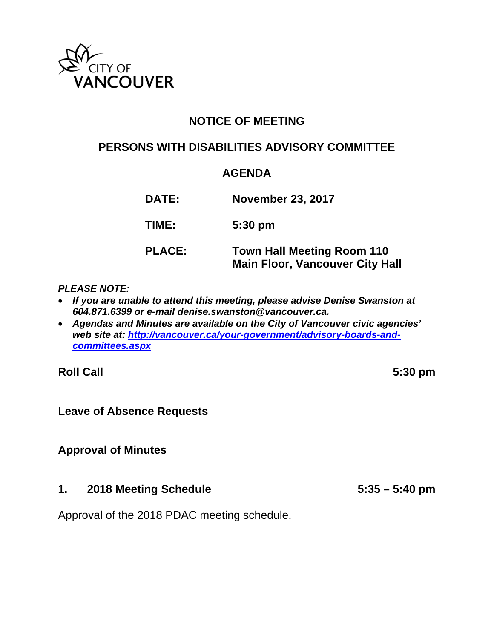

# **NOTICE OF MEETING**

## **PERSONS WITH DISABILITIES ADVISORY COMMITTEE**

# **AGENDA**

**DATE: November 23, 2017 TIME: 5:30 pm PLACE: Town Hall Meeting Room 110 Main Floor, Vancouver City Hall** 

#### *PLEASE NOTE:*

- *If you are unable to attend this meeting, please advise Denise Swanston at 604.871.6399 or e-mail denise.swanston@vancouver.ca.*
- *Agendas and Minutes are available on the City of Vancouver civic agencies' web site at: http://vancouver.ca/your-government/advisory-boards-andcommittees.aspx*

**Roll Call 5:30 pm** 

#### **Leave of Absence Requests**

## **Approval of Minutes**

#### **1. 2018 Meeting Schedule 5:35 – 5:40 pm**

Approval of the 2018 PDAC meeting schedule.